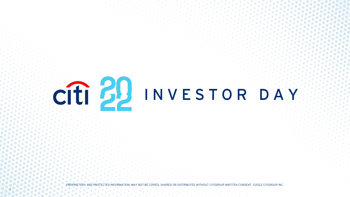

PROTECTED INFORMATION. MAY NOT BE COPIED, SHARED OR DISTRIBUTED WITHOUT CITIGROUP WRITTEN CONSENT. ©2022 CITIGROUP INC.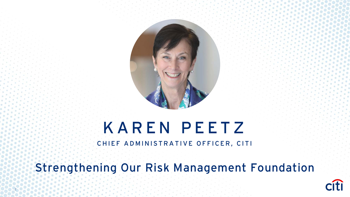

# KAREN PEETZ

CHIEF ADMINISTRATIVE OFFICER, CITI

Strengthening Our Risk Management Foundation

2

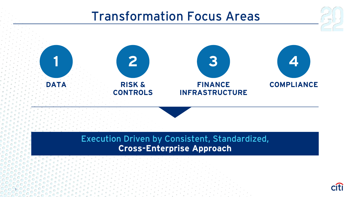### Transformation Focus Areas



**Cross-Enterprise Approach** 

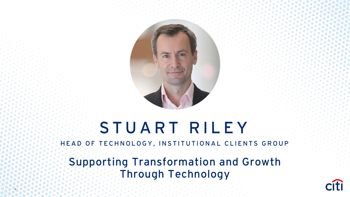

# STUART RILEY

HEAD OF TECHNOLOGY, INSTITUTIONAL CLIENTS GROUP

Supporting Transformation and Growth Through Technology

4

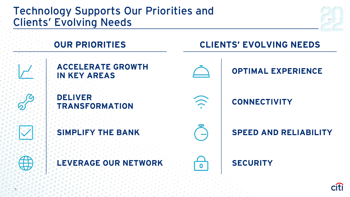### Technology Supports Our Priorities and Clients' Evolving Needs



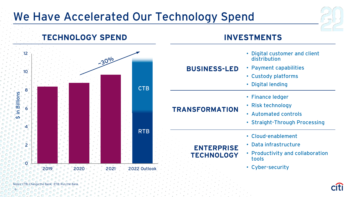### We Have Accelerated Our Technology Spend





Notes: CTB: Change the Bank; RTB: Run the Bank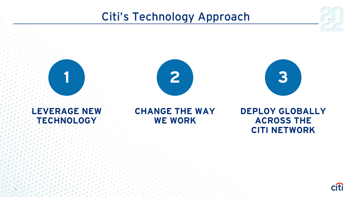### Citi's Technology Approach







#### **LEVERAGE NEW TECHNOLOGY**

7

### **CHANGE THE WAY WE WORK**

**DEPLOY GLOBALLY ACROSS THE CITI NETWORK**

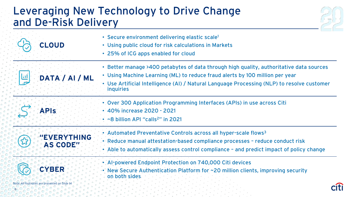### Leveraging New Technology to Drive Change and De-Risk Delivery



| CLOUD                                                         | • Secure environment delivering elastic scale <sup>1</sup><br>• Using public cloud for risk calculations in Markets<br>• 25% of ICG apps enabled for cloud                                                                                                                                |
|---------------------------------------------------------------|-------------------------------------------------------------------------------------------------------------------------------------------------------------------------------------------------------------------------------------------------------------------------------------------|
| DATA / AI / ML                                                | • Better manage >400 petabytes of data through high quality, authoritative data sources<br>• Using Machine Learning (ML) to reduce fraud alerts by 100 million per year<br>• Use Artificial Intelligence (AI) / Natural Language Processing (NLP) to resolve customer<br><i>inquiries</i> |
| <b>APIS</b>                                                   | • Over 300 Application Programming Interfaces (APIs) in use across Citi<br>• 40% increase 2020 - 2021<br>~8 billion API "calls <sup>2</sup> " in 2021                                                                                                                                     |
| <b>EVERYTHING</b><br><b>AS CODE"</b>                          | Automated Preventative Controls across all hyper-scale flows <sup>3</sup><br>Reduce manual attestation-based compliance processes - reduce conduct risk<br>Able to automatically assess control compliance - and predict impact of policy change                                          |
| <b>CYBER</b><br>Note: All footnotes are presented on Slide 14 | Al-powered Endpoint Protection on 740,000 Citi devices<br>New Secure Authentication Platform for ~20 million clients, improving security<br>on both sides.                                                                                                                                |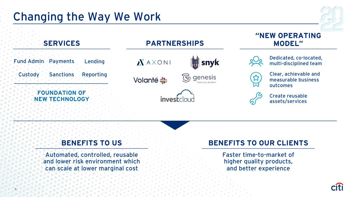



Automated, controlled, reusable and lower risk environment which can scale at lower marginal cost

#### **BENEFITS TO US BENEFITS TO OUR CLIENTS**

Faster time-to-market of higher quality products, and better experience

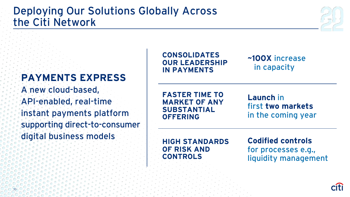### Deploying Our Solutions Globally Across the Citi Network

### **PAYMENTS EXPRESS**

A new cloud-based, API-enabled, real-time instant payments platform supporting direct-to-consumer digital business models

**CONSOLIDATES OUR LEADERSHIP IN PAYMENTS**

#### **~100X** increase in capacity

**FASTER TIME TO MARKET OF ANY SUBSTANTIAL OFFERING**

**Launch** in first **two markets**  in the coming year

**HIGH STANDARDS OF RISK AND CONTROLS**

**Codified controls**  for processes e.g., liquidity management

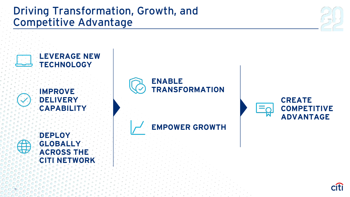### Driving Transformation, Growth, and Competitive Advantage

11





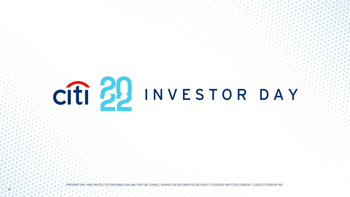

PROPRIETARY AND PROTECTED INFORMATION. MAY NOT BE COPIED, SHARED OR DISTRIBUTED WITHOUT CITIGROUP WRITTEN CONSENT. ©2022 CITIGROUP INC.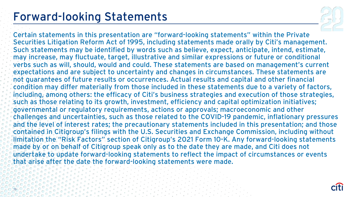### Forward-looking Statements



Certain statements in this presentation are "forward-looking statements" within the Private Securities Litigation Reform Act of 1995, including statements made orally by Citi's management. Such statements may be identified by words such as believe, expect, anticipate, intend, estimate, may increase, may fluctuate, target, illustrative and similar expressions or future or conditional verbs such as will, should, would and could. These statements are based on management's current expectations and are subject to uncertainty and changes in circumstances. These statements are not guarantees of future results or occurrences. Actual results and capital and other financial condition may differ materially from those included in these statements due to a variety of factors, including, among others: the efficacy of Citi's business strategies and execution of those strategies, such as those relating to its growth, investment, efficiency and capital optimization initiatives; governmental or regulatory requirements, actions or approvals; macroeconomic and other challenges and uncertainties, such as those related to the COVID-19 pandemic, inflationary pressures and the level of interest rates; the precautionary statements included in this presentation; and those contained in Citigroup's filings with the U.S. Securities and Exchange Commission, including without limitation the "Risk Factors" section of Citigroup's 2021 Form 10-K. Any forward-looking statements made by or on behalf of Citigroup speak only as to the date they are made, and Citi does not undertake to update forward-looking statements to reflect the impact of circumstances or events that arise after the date the forward-looking statements were made.

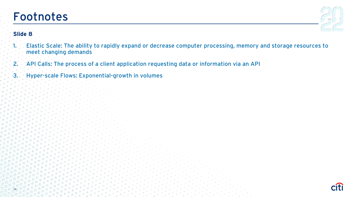### Footnotes



#### **Slide 8**

- 1. Elastic Scale: The ability to rapidly expand or decrease computer processing, memory and storage resources to meet changing demands
- 2. API Calls: The process of a client application requesting data or information via an API
- 3. Hyper-scale Flows: Exponential-growth in volumes